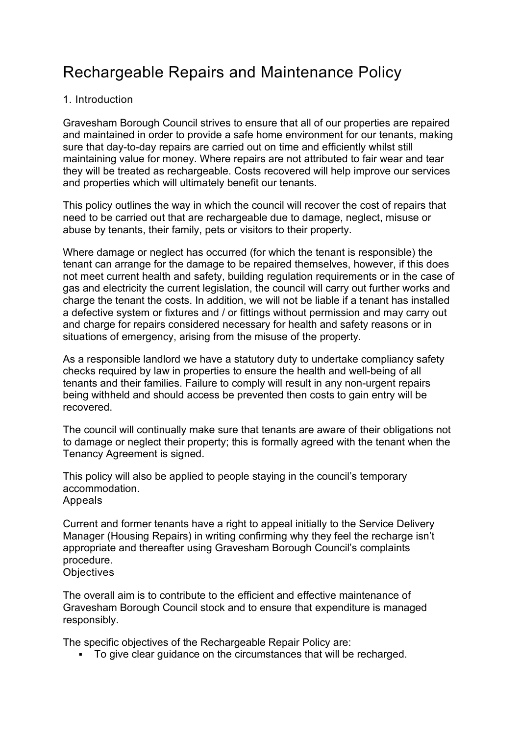# Rechargeable Repairs and Maintenance Policy

#### 1. Introduction

Gravesham Borough Council strives to ensure that all of our properties are repaired and maintained in order to provide a safe home environment for our tenants, making sure that day-to-day repairs are carried out on time and efficiently whilst still maintaining value for money. Where repairs are not attributed to fair wear and tear they will be treated as rechargeable. Costs recovered will help improve our services and properties which will ultimately benefit our tenants.

This policy outlines the way in which the council will recover the cost of repairs that need to be carried out that are rechargeable due to damage, neglect, misuse or abuse by tenants, their family, pets or visitors to their property.

Where damage or neglect has occurred (for which the tenant is responsible) the tenant can arrange for the damage to be repaired themselves, however, if this does not meet current health and safety, building regulation requirements or in the case of gas and electricity the current legislation, the council will carry out further works and charge the tenant the costs. In addition, we will not be liable if a tenant has installed a defective system or fixtures and / or fittings without permission and may carry out and charge for repairs considered necessary for health and safety reasons or in situations of emergency, arising from the misuse of the property.

As a responsible landlord we have a statutory duty to undertake compliancy safety checks required by law in properties to ensure the health and well-being of all tenants and their families. Failure to comply will result in any non-urgent repairs being withheld and should access be prevented then costs to gain entry will be recovered.

The council will continually make sure that tenants are aware of their obligations not to damage or neglect their property; this is formally agreed with the tenant when the Tenancy Agreement is signed.

This policy will also be applied to people staying in the council's temporary accommodation. Appeals

Current and former tenants have a right to appeal initially to the Service Delivery Manager (Housing Repairs) in writing confirming why they feel the recharge isn't appropriate and thereafter using Gravesham Borough Council's complaints procedure.

# **Objectives**

The overall aim is to contribute to the efficient and effective maintenance of Gravesham Borough Council stock and to ensure that expenditure is managed responsibly.

The specific objectives of the Rechargeable Repair Policy are:

To give clear guidance on the circumstances that will be recharged.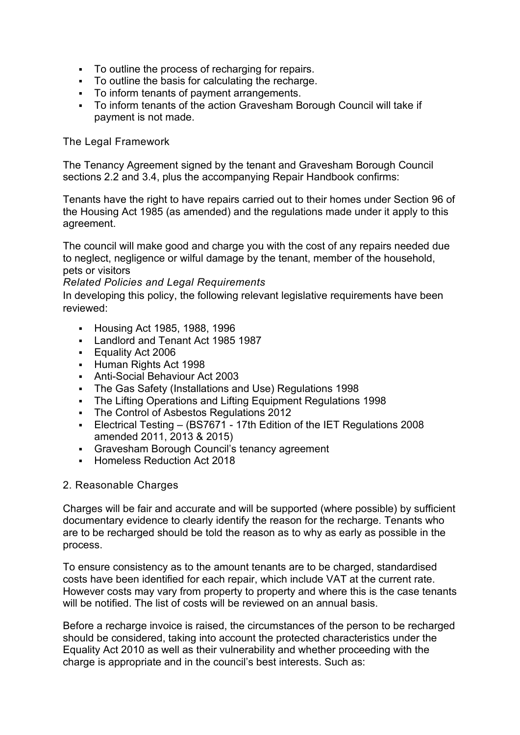- To outline the process of recharging for repairs.
- To outline the basis for calculating the recharge.
- To inform tenants of payment arrangements.
- To inform tenants of the action Gravesham Borough Council will take if payment is not made.

#### The Legal Framework

The Tenancy Agreement signed by the tenant and Gravesham Borough Council sections 2.2 and 3.4, plus the accompanying Repair Handbook confirms:

Tenants have the right to have repairs carried out to their homes under Section 96 of the Housing Act 1985 (as amended) and the regulations made under it apply to this agreement.

The council will make good and charge you with the cost of any repairs needed due to neglect, negligence or wilful damage by the tenant, member of the household, pets or visitors

#### *Related Policies and Legal Requirements*

In developing this policy, the following relevant legislative requirements have been reviewed:

- Housing Act 1985, 1988, 1996
- **Landlord and Tenant Act 1985 1987**
- **Equality Act 2006**
- Human Rights Act 1998
- Anti-Social Behaviour Act 2003
- The Gas Safety (Installations and Use) Regulations 1998
- The Lifting Operations and Lifting Equipment Regulations 1998
- The Control of Asbestos Regulations 2012
- Electrical Testing (BS7671 17th Edition of the IET Regulations 2008 amended 2011, 2013 & 2015)
- Gravesham Borough Council's tenancy agreement
- **Homeless Reduction Act 2018**

#### 2. Reasonable Charges

Charges will be fair and accurate and will be supported (where possible) by sufficient documentary evidence to clearly identify the reason for the recharge. Tenants who are to be recharged should be told the reason as to why as early as possible in the process.

To ensure consistency as to the amount tenants are to be charged, standardised costs have been identified for each repair, which include VAT at the current rate. However costs may vary from property to property and where this is the case tenants will be notified. The list of costs will be reviewed on an annual basis.

Before a recharge invoice is raised, the circumstances of the person to be recharged should be considered, taking into account the protected characteristics under the Equality Act 2010 as well as their vulnerability and whether proceeding with the charge is appropriate and in the council's best interests. Such as: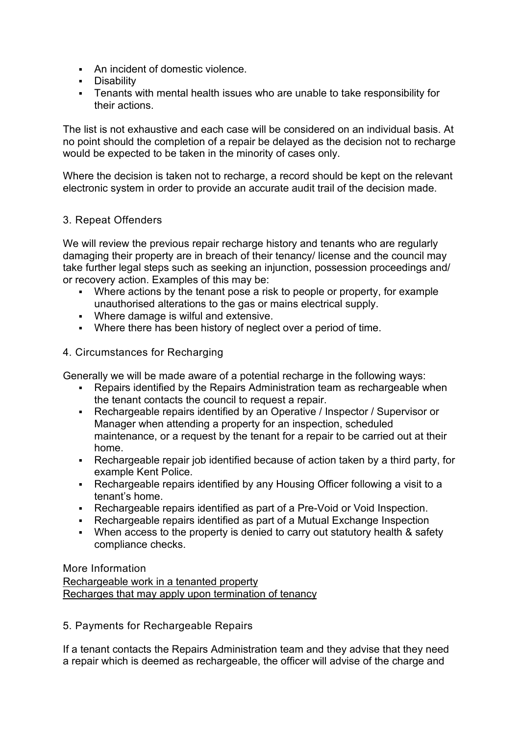- An incident of domestic violence.
- **Disability**
- Tenants with mental health issues who are unable to take responsibility for their actions.

The list is not exhaustive and each case will be considered on an individual basis. At no point should the completion of a repair be delayed as the decision not to recharge would be expected to be taken in the minority of cases only.

Where the decision is taken not to recharge, a record should be kept on the relevant electronic system in order to provide an accurate audit trail of the decision made.

# 3. Repeat Offenders

We will review the previous repair recharge history and tenants who are regularly damaging their property are in breach of their tenancy/ license and the council may take further legal steps such as seeking an injunction, possession proceedings and/ or recovery action. Examples of this may be:

- Where actions by the tenant pose a risk to people or property, for example unauthorised alterations to the gas or mains electrical supply.
- Where damage is wilful and extensive.
- Where there has been history of neglect over a period of time.

# 4. Circumstances for Recharging

Generally we will be made aware of a potential recharge in the following ways:

- Repairs identified by the Repairs Administration team as rechargeable when the tenant contacts the council to request a repair.
- Rechargeable repairs identified by an Operative / Inspector / Supervisor or Manager when attending a property for an inspection, scheduled maintenance, or a request by the tenant for a repair to be carried out at their home.
- Rechargeable repair job identified because of action taken by a third party, for example Kent Police.
- Rechargeable repairs identified by any Housing Officer following a visit to a tenant's home.
- Rechargeable repairs identified as part of a Pre-Void or Void Inspection.
- Rechargeable repairs identified as part of a Mutual Exchange Inspection
- When access to the property is denied to carry out statutory health & safety compliance checks.

More Information [Rechargeable work in a tenanted property](https://www.gravesham.gov.uk/home/about-the-council/policies-strategies-open-data/policies/rechargeable-repairs-and-maintenance-policy/circumstances-for-recharging/appendix-1) [Recharges that may apply upon termination of tenancy](https://www.gravesham.gov.uk/home/about-the-council/policies-strategies-open-data/policies/rechargeable-repairs-and-maintenance-policy/circumstances-for-recharging/appendix-2)

5. Payments for Rechargeable Repairs

If a tenant contacts the Repairs Administration team and they advise that they need a repair which is deemed as rechargeable, the officer will advise of the charge and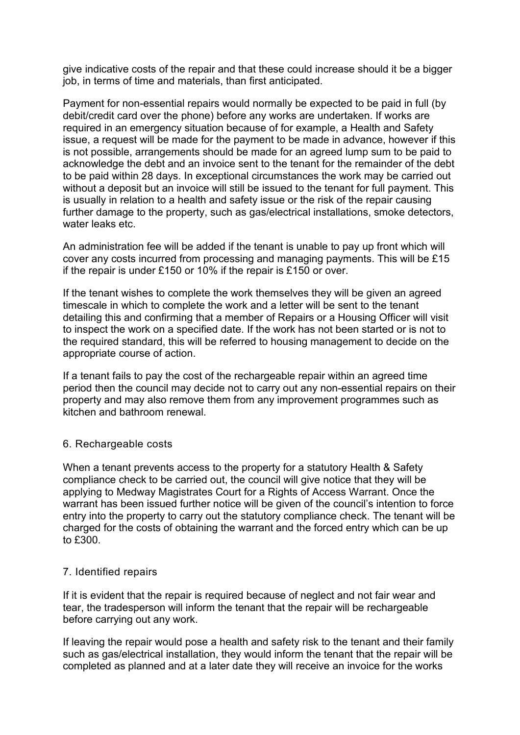give indicative costs of the repair and that these could increase should it be a bigger job, in terms of time and materials, than first anticipated.

Payment for non-essential repairs would normally be expected to be paid in full (by debit/credit card over the phone) before any works are undertaken. If works are required in an emergency situation because of for example, a Health and Safety issue, a request will be made for the payment to be made in advance, however if this is not possible, arrangements should be made for an agreed lump sum to be paid to acknowledge the debt and an invoice sent to the tenant for the remainder of the debt to be paid within 28 days. In exceptional circumstances the work may be carried out without a deposit but an invoice will still be issued to the tenant for full payment. This is usually in relation to a health and safety issue or the risk of the repair causing further damage to the property, such as gas/electrical installations, smoke detectors, water leaks etc.

An administration fee will be added if the tenant is unable to pay up front which will cover any costs incurred from processing and managing payments. This will be £15 if the repair is under £150 or 10% if the repair is £150 or over.

If the tenant wishes to complete the work themselves they will be given an agreed timescale in which to complete the work and a letter will be sent to the tenant detailing this and confirming that a member of Repairs or a Housing Officer will visit to inspect the work on a specified date. If the work has not been started or is not to the required standard, this will be referred to housing management to decide on the appropriate course of action.

If a tenant fails to pay the cost of the rechargeable repair within an agreed time period then the council may decide not to carry out any non-essential repairs on their property and may also remove them from any improvement programmes such as kitchen and bathroom renewal.

#### 6. Rechargeable costs

When a tenant prevents access to the property for a statutory Health & Safety compliance check to be carried out, the council will give notice that they will be applying to Medway Magistrates Court for a Rights of Access Warrant. Once the warrant has been issued further notice will be given of the council's intention to force entry into the property to carry out the statutory compliance check. The tenant will be charged for the costs of obtaining the warrant and the forced entry which can be up to £300.

#### 7. Identified repairs

If it is evident that the repair is required because of neglect and not fair wear and tear, the tradesperson will inform the tenant that the repair will be rechargeable before carrying out any work.

If leaving the repair would pose a health and safety risk to the tenant and their family such as gas/electrical installation, they would inform the tenant that the repair will be completed as planned and at a later date they will receive an invoice for the works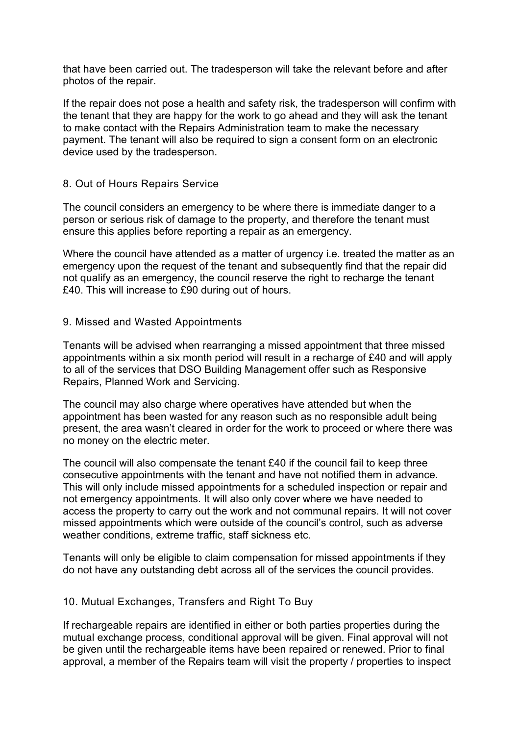that have been carried out. The tradesperson will take the relevant before and after photos of the repair.

If the repair does not pose a health and safety risk, the tradesperson will confirm with the tenant that they are happy for the work to go ahead and they will ask the tenant to make contact with the Repairs Administration team to make the necessary payment. The tenant will also be required to sign a consent form on an electronic device used by the tradesperson.

#### 8. Out of Hours Repairs Service

The council considers an emergency to be where there is immediate danger to a person or serious risk of damage to the property, and therefore the tenant must ensure this applies before reporting a repair as an emergency.

Where the council have attended as a matter of urgency i.e. treated the matter as an emergency upon the request of the tenant and subsequently find that the repair did not qualify as an emergency, the council reserve the right to recharge the tenant £40. This will increase to £90 during out of hours.

#### 9. Missed and Wasted Appointments

Tenants will be advised when rearranging a missed appointment that three missed appointments within a six month period will result in a recharge of £40 and will apply to all of the services that DSO Building Management offer such as Responsive Repairs, Planned Work and Servicing.

The council may also charge where operatives have attended but when the appointment has been wasted for any reason such as no responsible adult being present, the area wasn't cleared in order for the work to proceed or where there was no money on the electric meter.

The council will also compensate the tenant £40 if the council fail to keep three consecutive appointments with the tenant and have not notified them in advance. This will only include missed appointments for a scheduled inspection or repair and not emergency appointments. It will also only cover where we have needed to access the property to carry out the work and not communal repairs. It will not cover missed appointments which were outside of the council's control, such as adverse weather conditions, extreme traffic, staff sickness etc.

Tenants will only be eligible to claim compensation for missed appointments if they do not have any outstanding debt across all of the services the council provides.

#### 10. Mutual Exchanges, Transfers and Right To Buy

If rechargeable repairs are identified in either or both parties properties during the mutual exchange process, conditional approval will be given. Final approval will not be given until the rechargeable items have been repaired or renewed. Prior to final approval, a member of the Repairs team will visit the property / properties to inspect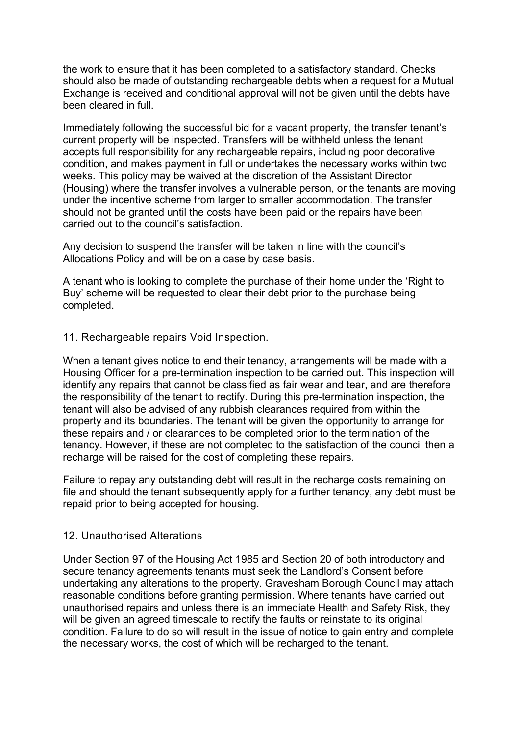the work to ensure that it has been completed to a satisfactory standard. Checks should also be made of outstanding rechargeable debts when a request for a Mutual Exchange is received and conditional approval will not be given until the debts have been cleared in full.

Immediately following the successful bid for a vacant property, the transfer tenant's current property will be inspected. Transfers will be withheld unless the tenant accepts full responsibility for any rechargeable repairs, including poor decorative condition, and makes payment in full or undertakes the necessary works within two weeks. This policy may be waived at the discretion of the Assistant Director (Housing) where the transfer involves a vulnerable person, or the tenants are moving under the incentive scheme from larger to smaller accommodation. The transfer should not be granted until the costs have been paid or the repairs have been carried out to the council's satisfaction.

Any decision to suspend the transfer will be taken in line with the council's Allocations Policy and will be on a case by case basis.

A tenant who is looking to complete the purchase of their home under the 'Right to Buy' scheme will be requested to clear their debt prior to the purchase being completed.

#### 11. Rechargeable repairs Void Inspection.

When a tenant gives notice to end their tenancy, arrangements will be made with a Housing Officer for a pre-termination inspection to be carried out. This inspection will identify any repairs that cannot be classified as fair wear and tear, and are therefore the responsibility of the tenant to rectify. During this pre-termination inspection, the tenant will also be advised of any rubbish clearances required from within the property and its boundaries. The tenant will be given the opportunity to arrange for these repairs and / or clearances to be completed prior to the termination of the tenancy. However, if these are not completed to the satisfaction of the council then a recharge will be raised for the cost of completing these repairs.

Failure to repay any outstanding debt will result in the recharge costs remaining on file and should the tenant subsequently apply for a further tenancy, any debt must be repaid prior to being accepted for housing.

#### 12. Unauthorised Alterations

Under Section 97 of the Housing Act 1985 and Section 20 of both introductory and secure tenancy agreements tenants must seek the Landlord's Consent before undertaking any alterations to the property. Gravesham Borough Council may attach reasonable conditions before granting permission. Where tenants have carried out unauthorised repairs and unless there is an immediate Health and Safety Risk, they will be given an agreed timescale to rectify the faults or reinstate to its original condition. Failure to do so will result in the issue of notice to gain entry and complete the necessary works, the cost of which will be recharged to the tenant.